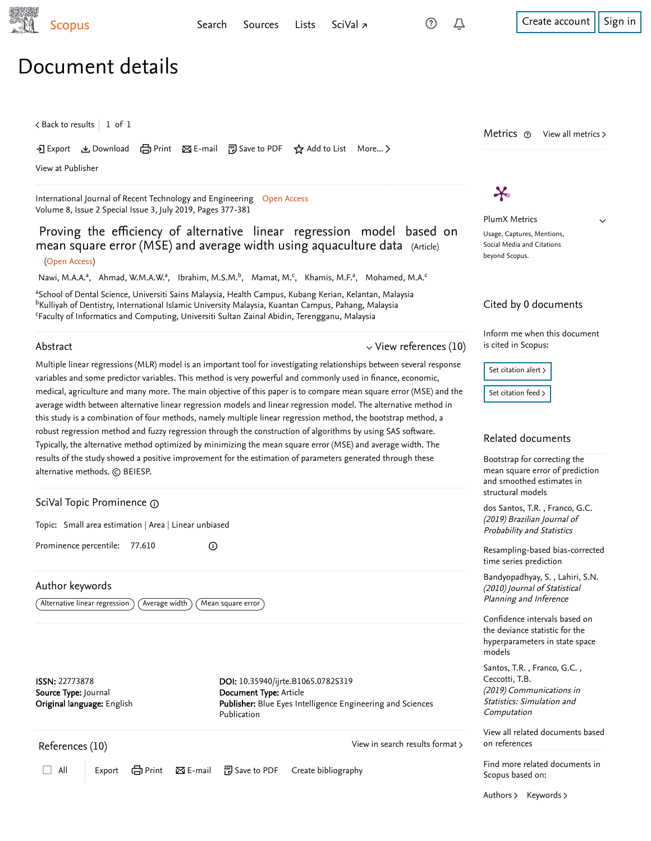$\checkmark$ 

# Document details

 $\zeta$  [Back to results](https://www-scopus-com.ezproxy.um.edu.my/results/results.uri?sort=plf-f&src=s&st1=Proving+the+efficiency+of+alternative+linear+regression+model+based+&st2=&sid=5452e6a16e10ae581bcecbb0cd07cbdc&sot=b&sdt=b&sl=75&s=TITLE%28Proving+the+efficiency+of+alternative+linear+regression+model+based+%29&offset=1&origin=recordpage)  $\vert\,$   $\,$  1 of  $\,$  1  $\,$ 

Download 日 Print Be-mail 『別 Save to PDF ☆ Add to List More... >

[View at Publisher](https://www-scopus-com.ezproxy.um.edu.my/redirect/linking.uri?targetURL=https%3a%2f%2fdoi.org%2f10.35940%2fijrte.B1065.0782S319&locationID=1&categoryID=4&eid=2-s2.0-85073282894&issn=22773878&linkType=ViewAtPublisher&year=2019&origin=recordpage&dig=a2b025fed0ac1d28a0cb9bd6a19f88bd&recordRank=)

[International Journal of Recent Technology and Engineering](https://www-scopus-com.ezproxy.um.edu.my/sourceid/21100889873?origin=recordpage) Open Access Volume 8, Issue 2 Special Issue 3, July 2019, Pages 377-381

Proving the efficiency of alternative linear regression model based on mean square error (MSE) and average width using aquaculture data (Article) (Open Access)

[Nawi, M.A.A.](https://www-scopus-com.ezproxy.um.edu.my/authid/detail.uri?authorId=56909845700&eid=2-s2.0-85073282894)ª, [Ahmad, W.M.A.W.](https://www-scopus-com.ezproxy.um.edu.my/authid/detail.uri?authorId=55163807800&eid=2-s2.0-85073282894)ª, [Ibrahim, M.S.M.](https://www-scopus-com.ezproxy.um.edu.my/authid/detail.uri?authorId=57211278144&eid=2-s2.0-85073282894)<sup>b</sup>, [Mamat, M.](https://www-scopus-com.ezproxy.um.edu.my/authid/detail.uri?authorId=35761412000&eid=2-s2.0-85073282894)<sup>c</sup>, [Khamis, M.F.](https://www-scopus-com.ezproxy.um.edu.my/authid/detail.uri?authorId=55357687600&eid=2-s2.0-85073282894)ª, [Mohamed, M.A.](https://www-scopus-com.ezproxy.um.edu.my/authid/detail.uri?authorId=57194596063&eid=2-s2.0-85073282894)<sup>c</sup>

aSchool of Dental Science, Universiti Sains Malaysia, Health Campus, Kubang Kerian, Kelantan, Malaysia <sup>b</sup>Kulliyah of Dentistry, International Islamic University Malaysia, Kuantan Campus, Pahang, Malaysia Faculty of Informatics and Computing, Universiti Sultan Zainal Abidin, Terengganu, Malaysia

 $^\circledR$ 

#### Abstract

 $\vee$  [View references \(10\)](#page-0-0)

Multiple linear regressions (MLR) model is an important tool for investigating relationships between several response variables and some predictor variables. This method is very powerful and commonly used in finance, economic, medical, agriculture and many more. The main objective of this paper is to compare mean square error (MSE) and the average width between alternative linear regression models and linear regression model. The alternative method in this study is a combination of four methods, namely multiple linear regression method, the bootstrap method, a robust regression method and fuzzy regression through the construction of algorithms by using SAS software. Typically, the alternative method optimized by minimizing the mean square error (MSE) and average width. The results of the study showed a positive improvement for the estimation of parameters generated through these alternative methods. © BEIESP.

## SciVal Topic Prominence

Topic: Small area estimation | Area | Linear unbiased

Prominence percentile: 77.610

### Author keywords

 $\big(\,$  Alternative linear regression  $\big)$   $\big(\,$  Average width  $\big)$   $\big(\,$  Mean square error  $\big)$ 

ISSN: 22773878 Source Type: Journal Original language: English DOI: 10.35940/ijrte.B1065.0782S319 Document Type: Article Publisher: Blue Eyes Intelligence Engineering and Sciences Publication

<span id="page-0-0"></span>References (10)

[View in search results format](https://www-scopus-com.ezproxy.um.edu.my/search/submit/references.uri?sort=plf-f&src=r&imp=t&sid=342629ca16bea74799f9e1c09c943dfd&sot=rec&sdt=citedreferences&sl=23&s=EID%282-s2.0-85073282894%29&origin=recordpage&citeCnt=1&citingId=2-s2.0-85073282894) >

All Export  $\Box$  All Export  $\Box$  Print  $\boxtimes$  E-mail  $\Box$  Save to PDF Create bibliography

 $\boldsymbol{\varkappa}$ 

PlumX Metrics Usage, Captures, Mentions, Social Media and Citations beyond Scopus.

Metrics  $\odot$  View all metrics >

#### Cited by 0 documents

Inform me when this document is cited in Scopus:

Set citation alert >

[Set citation feed](https://www-scopus-com.ezproxy.um.edu.my/results/rss/handler.uri?citeEid=2-s2.0-85073282894) >

#### Related documents

Bootstrap for correcting the [mean square error of prediction](https://www-scopus-com.ezproxy.um.edu.my/record/display.uri?origin=recordpage&zone=relatedDocuments&eid=2-s2.0-85060028896&citeCnt=0&noHighlight=false&sort=plf-f&src=s&st1=Proving+the+efficiency+of+alternative+linear+regression+model+based+&st2=&sid=5452e6a16e10ae581bcecbb0cd07cbdc&sot=b&sdt=b&sl=75&s=TITLE%28Proving+the+efficiency+of+alternative+linear+regression+model+based+%29&relpos=0) and smoothed estimates in structural models

[dos Santos, T.R.](https://www-scopus-com.ezproxy.um.edu.my/authid/detail.uri?origin=recordpage&authorId=56355458100&zone=relatedDocuments) , [Franco, G.C.](https://www-scopus-com.ezproxy.um.edu.my/authid/detail.uri?origin=recordpage&authorId=34770715700&zone=relatedDocuments) (2019) Brazilian Journal of Probability and Statistics

[Resampling-based bias-corrected](https://www-scopus-com.ezproxy.um.edu.my/record/display.uri?origin=recordpage&zone=relatedDocuments&eid=2-s2.0-77955589410&citeCnt=0&noHighlight=false&sort=plf-f&src=s&st1=Proving+the+efficiency+of+alternative+linear+regression+model+based+&st2=&sid=5452e6a16e10ae581bcecbb0cd07cbdc&sot=b&sdt=b&sl=75&s=TITLE%28Proving+the+efficiency+of+alternative+linear+regression+model+based+%29&relpos=1) time series prediction

, [Bandyopadhyay, S.](https://www-scopus-com.ezproxy.um.edu.my/authid/detail.uri?origin=recordpage&authorId=25627401100&zone=relatedDocuments) [Lahiri, S.N.](https://www-scopus-com.ezproxy.um.edu.my/authid/detail.uri?origin=recordpage&authorId=7203050759&zone=relatedDocuments) (2010) Journal of Statistical Planning and Inference

Confidence intervals based on the deviance statistic for the [hyperparameters in state space](https://www-scopus-com.ezproxy.um.edu.my/record/display.uri?origin=recordpage&zone=relatedDocuments&eid=2-s2.0-85038081531&citeCnt=0&noHighlight=false&sort=plf-f&src=s&st1=Proving+the+efficiency+of+alternative+linear+regression+model+based+&st2=&sid=5452e6a16e10ae581bcecbb0cd07cbdc&sot=b&sdt=b&sl=75&s=TITLE%28Proving+the+efficiency+of+alternative+linear+regression+model+based+%29&relpos=2) models

[Santos, T.R.](https://www-scopus-com.ezproxy.um.edu.my/authid/detail.uri?origin=recordpage&authorId=57196507734&zone=relatedDocuments), Franco, G.C., (2019) Communications in Statistics: Simulation and Computation [Ceccotti, T.B.](https://www-scopus-com.ezproxy.um.edu.my/authid/detail.uri?origin=recordpage&authorId=57199504746&zone=relatedDocuments)

[View all related documents based](https://www-scopus-com.ezproxy.um.edu.my/search/submit/mlt.uri?eid=2-s2.0-85073282894&src=s&all=true&origin=recordpage&method=ref&zone=relatedDocuments) on references

Find more related documents in Scopus based on:

[Authors](https://www-scopus-com.ezproxy.um.edu.my/search/submit/mlt.uri?eid=2-s2.0-85073282894&src=s&all=true&origin=recordpage&method=aut&zone=relatedDocuments) > [Keywords](https://www-scopus-com.ezproxy.um.edu.my/search/submit/mlt.uri?eid=2-s2.0-85073282894&src=s&all=true&origin=recordpage&method=key&zone=relatedDocuments) >